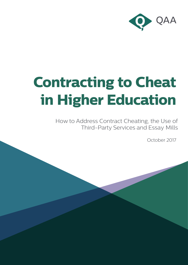

# **Contracting to Cheat in Higher Education**

How to Address Contract Cheating, the Use of Third-Party Services and Essay Mills

October 2017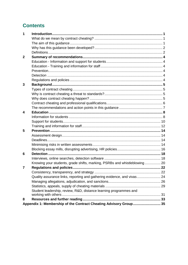# **Contents**

| 1              |                                                                           |  |
|----------------|---------------------------------------------------------------------------|--|
|                |                                                                           |  |
|                |                                                                           |  |
|                |                                                                           |  |
|                |                                                                           |  |
| $\overline{2}$ |                                                                           |  |
|                |                                                                           |  |
|                |                                                                           |  |
|                |                                                                           |  |
|                |                                                                           |  |
|                |                                                                           |  |
| 3              |                                                                           |  |
|                |                                                                           |  |
|                |                                                                           |  |
|                |                                                                           |  |
|                |                                                                           |  |
|                |                                                                           |  |
| 4              |                                                                           |  |
|                |                                                                           |  |
|                |                                                                           |  |
|                |                                                                           |  |
| 5              |                                                                           |  |
|                |                                                                           |  |
|                |                                                                           |  |
|                |                                                                           |  |
|                |                                                                           |  |
| 6              |                                                                           |  |
|                |                                                                           |  |
|                | Knowing your students, grade shifts, marking, PSRBs and whistleblowing 20 |  |
| 7              |                                                                           |  |
|                |                                                                           |  |
|                | Quality assurance links, reporting and gathering evidence, and vivas 24   |  |
|                |                                                                           |  |
|                |                                                                           |  |
|                | Student leadership, review, R&D, distance learning programmes and         |  |
|                |                                                                           |  |
| 8              |                                                                           |  |
|                | Appendix 1: Membership of the Contract Cheating Advisory Group 35         |  |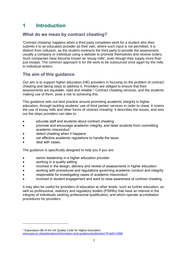# <span id="page-2-0"></span>**1 Introduction**

## <span id="page-2-1"></span>**What do we mean by contract cheating?**

'Contract cheating' happens when a third party completes work for a student who then submits it to an education provider as their own, where such input is not permitted. It is distinct from collusion, as the student contracts the third party to provide the assessment, usually a company or individual using a website to promote themselves and receive orders. Such companies have become known as 'essay mills', even though they supply more than just essays. The common approach is for the work to be outsourced once again by the mills to individual writers.

## <span id="page-2-2"></span>**The aim of this guidance**

Our aim is to support higher education (HE) providers in focusing on the problem of contract cheating and taking steps to address it. Providers are obliged to ensure that their assessments are equitable, valid and reliable.<sup>1</sup> Contract cheating services, and the students making use of them, pose a risk to achieving this.

This guidance sets out best practice around promoting academic integrity in higher education, through tackling students' use of third parties' services in order to cheat. It covers the use of essay mills and other forms of contract cheating. It describes the issues, and sets out the steps providers can take to:

- educate staff and students about contract cheating
- promote and encourage academic integrity, and deter students from committing academic misconduct
- detect cheating when it happens
- set effective academic regulations to handle the issue
- deal with cases.

-

The guidance is specifically designed to help you if you are:

- senior leadership in a higher education provider
- working in a quality setting
- involved in the design, delivery and review of assessments in higher education
- working with procedures and regulations governing academic conduct and integrity
- responsible for investigating cases of academic misconduct
- involved in student engagement and want to raise awareness of contract cheating.

It may also be useful for providers of education at other levels, such as further education, as well as professional, statutory and regulatory bodies (PSRBs) that have an interest in the integrity of individuals seeking professional qualification, and which operate accreditation procedures for providers.

<sup>1</sup> Expectation B6 of the UK Quality Code for Higher Education: [www.qaa.ac.uk/publications/information-and-guidance/publication?PubID=2968](http://www.qaa.ac.uk/publications/information-and-guidance/publication?PubID=2968)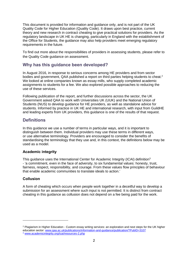This document is provided for information and guidance only, and is not part of the UK Quality Code for Higher Education (Quality Code). It draws upon best practice, current theory and new research in contract cheating to give practical solutions for providers. As the regulatory landscape in UK HE is changing, particularly in England with the establishment of the Office for Students, the guidance may also help providers meet emerging regulatory requirements in the future.

To find out more about the responsibilities of providers in assessing students, please refer to the Quality Code guidance on assessment.

## <span id="page-3-0"></span>**Why has this guidance been developed?**

In August 2016, in response to serious concerns among HE providers and from sector bodies and government, QAA published a report on third parties helping students to cheat.<sup>2</sup> We looked at online companies known as essay mills, who supply completed academic assignments to students for a fee. We also explored possible approaches to reducing the use of these services.

Following publication of the report, and further discussions across the sector, the UK Government asked QAA to work with Universities UK (UUK) and the National Union of Students (NUS) to develop guidance for HE providers, as well as standalone advice for students. Informed by practice in UK HE and international research, with input from GuildHE and leading experts from UK providers, this guidance is one of the results of that request.

## <span id="page-3-1"></span>**Definitions**

In this guidance we use a number of terms in particular ways, and it is important to distinguish between them. Individual providers may use these terms in different ways, or use alternative terminology. Providers are encouraged to consider the benefits of standardising the terminology that they use and, in this context, the definitions below may be used as a model.

### **Academic integrity**

This guidance uses the International Center for Academic Integrity (ICAI) definition<sup>3</sup> - 'a commitment, even in the face of adversity, to six fundamental values: honesty, trust, fairness, respect, responsibility, and courage. From these values flow principles of behaviour that enable academic communities to translate ideals to action.'

## **Collusion**

-

A form of cheating which occurs when people work together in a deceitful way to develop a submission for an assessment where such input is not permitted. It is distinct from contract cheating in this guidance as collusion does not depend on a fee being paid for the work.

<sup>&</sup>lt;sup>2</sup> Plagiarism in Higher Education - Custom essay writing services: an exploration and next steps for the UK higher education sector: [www.qaa.ac.uk/publications/information-and-guidance/publication/?PubID=3107](http://www.qaa.ac.uk/publications/information-and-guidance/publication/?PubID=3107)

<sup>3</sup> [www.academicintegrity.org/icai/resources-2.php](http://www.academicintegrity.org/icai/resources-2.php)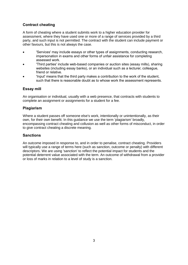## **Contract cheating**

A form of cheating where a student submits work to a higher education provider for assessment, where they have used one or more of a range of services provided by a third party, and such input is not permitted. The contract with the student can include payment or other favours, but this is not always the case.

- 'Services' may include essays or other types of assignments, conducting research, impersonation in exams and other forms of unfair assistance for completing assessed work.
- 'Third parties' include web-based companies or auction sites (essay mills), sharing websites (including essay banks), or an individual such as a lecturer, colleague, friend or relative.
- 'Input' means that the third party makes a contribution to the work of the student, such that there is reasonable doubt as to whose work the assessment represents.

## **Essay mill**

An organisation or individual, usually with a web presence, that contracts with students to complete an assignment or assignments for a student for a fee.

## **Plagiarism**

Where a student passes off someone else's work, intentionally or unintentionally, as their own, for their own benefit. In this guidance we use the term 'plagiarism' broadly, encompassing contract cheating and collusion as well as other forms of misconduct, in order to give contract cheating a discrete meaning.

### **Sanctions**

An outcome imposed in response to, and in order to penalise, contract cheating. Providers will typically use a range of terms here (such as sanction, outcome or penalty) with different descriptors. We are using 'sanction' to reflect the potential impact for students and the potential deterrent value associated with the term. An outcome of withdrawal from a provider or loss of marks in relation to a level of study is a sanction.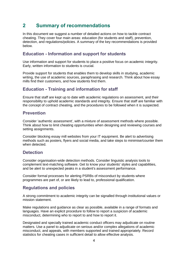# <span id="page-5-0"></span>**2 Summary of recommendations**

In this document we suggest a number of detailed actions on how to tackle contract cheating. They cover four main areas: education (for students and staff), prevention, detection, and regulations/policies. A summary of the key recommendations is provided below.

## <span id="page-5-1"></span>**Education - Information and support for students**

Use information and support for students to place a positive focus on academic integrity. Early, written information to students is crucial.

Provide support for students that enables them to develop skills in studying, academic writing, the use of academic sources, paraphrasing and research. Think about how essay mills find their customers, and how students find them.

## <span id="page-5-2"></span>**Education - Training and information for staff**

Ensure that staff are kept up to date with academic regulations on assessment, and their responsibility to uphold academic standards and integrity. Ensure that staff are familiar with the concept of contract cheating, and the procedures to be followed when it is suspected.

## <span id="page-5-3"></span>**Prevention**

Consider 'authentic assessment', with a mixture of assessment methods where possible. Think about how to limit cheating opportunities when designing and reviewing courses and setting assignments.

Consider blocking essay mill websites from your IT equipment. Be alert to advertising methods such as posters, flyers and social media, and take steps to minimise/counter them when detected.

## <span id="page-5-4"></span>**Detection**

Consider organisation-wide detection methods. Consider linguistic analysis tools to complement text-matching software. Get to know your students' styles and capabilities, and be alert to unexpected peaks in a student's assessment performance.

Consider formal processes for alerting PSRBs of misconduct by students where programmes are part of, or are likely to lead to, professional qualification.

## <span id="page-5-5"></span>**Regulations and policies**

A strong commitment to academic integrity can be signalled through institutional values or mission statement.

Make regulations and guidance as clear as possible, available in a range of formats and languages. Have an explicit procedure to follow to report a suspicion of academic misconduct, determining who to report to and how to report it.

Designated and specially trained academic conduct officers may adjudicate on routine matters. Use a panel to adjudicate on serious and/or complex allegations of academic misconduct, and appeals, with members supported and trained appropriately. Record statistics for cheating cases in sufficient detail to allow effective analysis.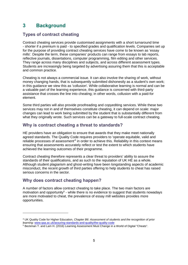# <span id="page-6-0"></span>**3 Background**

## <span id="page-6-1"></span>**Types of contract cheating**

Contract cheating services provide customised assignments with a short turnaround time - shorter if a premium is paid - to specified grades and qualification levels. Companies set up for the purpose of providing contract cheating services have come to be known as 'essay mills'. Despite the term, these companies' products can range from essays to lab reports, reflective journals, dissertations, computer programming, film editing and other services. They range across many disciplines and subjects, and across different assessment types. Students are increasingly being targeted by advertising assuring them that this is acceptable and common practice.

Cheating is not always a commercial issue. It can also involve the sharing of work, without money changing hands, that is subsequently submitted dishonestly as a student's own work; in this guidance we view this as 'collusion'. While collaborative learning is normal and can be a valuable part of the learning experience, this guidance is concerned with third-party assistance that crosses the line into cheating; in other words, collusion with a paid-for element.

Some third parties will also provide proofreading and copyediting services. While these two services may not in and of themselves constitute cheating, it can depend on scale: major changes can lead to work being submitted by the student that is substantially different from what they originally wrote. Such services can be a gateway to full-scale contract cheating.

## <span id="page-6-2"></span>**Why is contract cheating a threat to standards?**

HE providers have an obligation to ensure that awards that they make meet nationally agreed standards. The Quality Code requires providers to 'operate equitable, valid and reliable processes of assessment<sup>14</sup> in order to achieve this. Reliability in this context means ensuring that assessments accurately reflect or test the extent to which students have achieved the learning outcomes of their programme.

Contract cheating therefore represents a clear threat to providers' ability to assure the standards of their qualifications, and as such to the reputation of UK HE as a whole. Although student plagiarism and ghost-writing have been longstanding aspects of academic misconduct, the recent growth of third parties offering to help students to cheat has raised serious concerns in the sector.

## <span id="page-6-3"></span>**Why does contract cheating happen?**

-

A number of factors allow contract cheating to take place. The two main factors are motivation and opportunity<sup>5</sup> - while there is no evidence to suggest that students nowadays are more motivated to cheat, the prevalence of essay mill websites provides more opportunities.

<sup>5</sup> Beckman T. and Lam H. (2016) Learning Assessment Must Change in a World of Digital "Cheats".

<sup>4</sup> UK Quality Code for Higher Education, *Chapter B6: Assessment of students and the recognition of prior learning:* [www.qaa.ac.uk/assuring-standards-and-quality/the-quality-code](http://www.qaa.ac.uk/assuring-standards-and-quality/the-quality-code)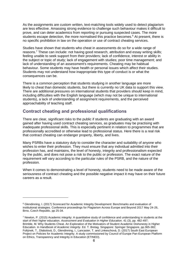As the assignments are custom written, text-matching tools widely used to detect plagiarism are less effective. Amassing strong evidence to challenge such behaviour makes it difficult to prove, and can deter academics from reporting or pursuing suspected cases. The more students escape detection, the more normalised this practice becomes. <sup>6</sup> At present, there is no specific prohibition in law on the operation or use of contract cheating services.

Studies have shown that students who cheat in assessments do so for a wide range of reasons.<sup>7</sup> These can include: not having good research, attribution and essay writing skills; feeling unable to seek support from their providers; lack of confidence, interest or ability in the subject or topic of study; lack of engagement with studies; poor time management; and lack of understanding of an assessment's requirements. Cheating may be habitual behaviour. Some students may have health or personal issues which affect their studies. Students may not understand how inappropriate this type of conduct is or what the consequences can be.

There is a common perception that students studying in another language are more likely to cheat than domestic students, but there is currently no UK data to support this view. There are additional pressures on international students that providers should keep in mind, including difficulties with the English language (which may not be unique to international students), a lack of understanding of assignment requirements, and the perceived approachability of teaching staff.

## <span id="page-7-0"></span>**Contract cheating and professional qualifications**

-

There are clear, significant risks to the public if students are graduating with an award gained after having used contract cheating services, as graduates may be practising with inadequate professional skills. This is especially pertinent in relation to programmes that are professionally accredited or otherwise lead to professional status. Here there is a real risk that contract cheating can endanger property, liberty, and lives.

Many PSRBs have a statutory duty to consider the character and suitability of anyone who wishes to enter their profession. They must ensure that any individual admitted into their profession has, and maintains, the level of honesty, integrity and professionalism expected by the public, and does not pose a risk to the public or profession. The exact nature of the requirement will vary according to the particular rules of the PSRB, and the nature of the profession.

When it comes to demonstrating a level of honesty, students need to be made aware of the seriousness of contract cheating and the possible negative impact it may have on their future careers as a result.

<sup>6</sup> Glendinning, I. (2017) Scorecard for Academic Integrity Development: Benchmarks and evaluation of institutional strategies. Conference proceedings for Plagiarism Across Europe and Beyond 2017 May 24-26, Brno, Czech Republic, pp 25-34.

 $7$  Newton, P. (2015) Academic integrity: A quantitative study of confidence and understanding in students at the start of their higher education. *Assessment and Evaluation in Higher Education*. 41 (3), pp. 482-497; Brimble, M. Why Students Cheat. An Exploration of the Motivators of Student Academic Dishonesty in Higher Education. In *Handbook of Academic Integrity*. Ed. T. Bretag. Singapore: Springer Singapore, pp.365-382; Foltýnek, T., Dlabolová, D., Glendinning, I., Lancaster, T. and Linkeschová, D. (2017) South East European Project on Policies for Academic Integrity. A study commissioned by Council of Europe Pan-European Platform on Ethics, Transparency and Integrity in Education (ETINED).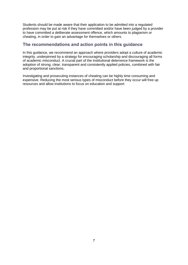Students should be made aware that their application to be admitted into a regulated profession may be put at risk if they have committed and/or have been judged by a provider to have committed a deliberate assessment offence, which amounts to plagiarism or cheating, in order to gain an advantage for themselves or others.

## <span id="page-8-0"></span>**The recommendations and action points in this guidance**

In this guidance, we recommend an approach where providers adopt a culture of academic integrity, underpinned by a strategy for encouraging scholarship and discouraging all forms of academic misconduct. A crucial part of the institutional deterrence framework is the adoption of strong, clear, transparent and consistently applied policies, combined with fair and proportional sanctions.

Investigating and prosecuting instances of cheating can be highly time consuming and expensive. Reducing the most serious types of misconduct before they occur will free up resources and allow institutions to focus on education and support.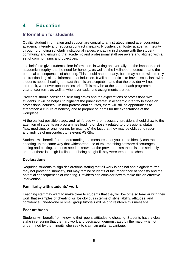# <span id="page-9-0"></span>**4 Education**

## <span id="page-9-1"></span>**Information for students**

Quality student information and support are central to any strategy aimed at encouraging academic integrity and reducing contract cheating. Providers can foster academic integrity through promoting scholarly institutional values, engaging in dialogue with the student community and ensuring that academic and professional staff are aware and aligned with a set of common aims and objectives.

It is helpful to give students clear information, in writing and verbally, on the importance of academic integrity and the need for honesty, as well as the likelihood of detection and the potential consequences of cheating. This should happen early, but it may not be wise to rely on 'frontloading' all the information at induction. It will be beneficial to have discussions with students about cheating, the fact that it is unacceptable, and that the provider will not tolerate it, whenever opportunities arise. This may be at the start of each programme, year and/or term, as well as whenever tasks and assignments are set.

Providers should consider discussing ethics and the expectations of professions with students. It will be helpful to highlight the public interest in academic integrity to those on professional courses. On non-professional courses, there will still be opportunities to strengthen a culture of honesty and to prepare students for the expectations of the workplace.

At the earliest possible stage, and reinforced where necessary, providers should draw to the attention of students on programmes leading or closely related to professional status (law, medicine, or engineering, for example) the fact that they may be obliged to report any findings of misconduct to relevant PSRBs.

Students will benefit from understanding the measures that you use to identify contract cheating. In the same way that widespread use of text-matching software discourages cutting and pasting, students need to know that the provider takes these issues seriously and that there is a high likelihood of being caught if they were tempted to cheat.

## **Declarations**

Requiring students to sign declarations stating that all work is original and plagiarism-free may not prevent dishonesty, but may remind students of the importance of honesty and the potential consequences of cheating. Providers can consider how to make this an effective intervention.

### **Familiarity with students' work**

Teaching staff may want to make clear to students that they will become so familiar with their work that examples of cheating will be obvious in terms of style, ability, attitudes, and confidence. One-to-one or small group tutorials will help to reinforce this message.

## **Peer attitudes**

Students will benefit from knowing their peers' attitudes to cheating. Students have a clear stake in ensuring that the hard work and dedication demonstrated by the majority is not undermined by the minority who seek to claim an unfair advantage.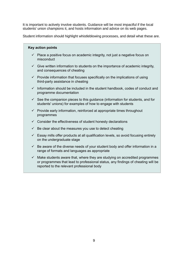It is important to actively involve students. Guidance will be most impactful if the local students' union champions it, and hosts information and advice on its web pages.

Student information should highlight whistleblowing processes, and detail what these are.

- $\checkmark$  Place a positive focus on academic integrity, not just a negative focus on misconduct
- $\checkmark$  Give written information to students on the importance of academic integrity, and consequences of cheating
- $\checkmark$  Provide information that focuses specifically on the implications of using third-party assistance in cheating
- $\checkmark$  Information should be included in the student handbook, codes of conduct and programme documentation
- $\checkmark$  See the companion pieces to this quidance (information for students, and for students' unions) for examples of how to engage with students
- $\checkmark$  Provide early information, reinforced at appropriate times throughout programmes
- $\checkmark$  Consider the effectiveness of student honesty declarations
- $\checkmark$  Be clear about the measures you use to detect cheating
- $\checkmark$  Essay mills offer products at all qualification levels, so avoid focusing entirely on the undergraduate stage
- $\checkmark$  Be aware of the diverse needs of your student body and offer information in a range of formats and languages as appropriate
- $\checkmark$  Make students aware that, where they are studying on accredited programmes or programmes that lead to professional status, any findings of cheating will be reported to the relevant professional body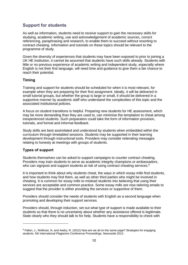## <span id="page-11-0"></span>**Support for students**

As well as information, students need to receive support to gain the necessary skills for studying, academic writing, use and acknowledgement of academic sources, correct referencing, paraphrasing and research, to enable them to succeed without resorting to contract cheating. Information and tutorials on these topics should be relevant to the programme of study.

Given the diversity of experiences that students may have been exposed to prior to joining a UK HE institution, it cannot be assumed that students have such skills already. Students with little or no previous experience of academic writing and independent study, especially where English is not their first language, will need time and guidance to give them a fair chance to reach their potential.

### **Timing**

Training and support for students should be scheduled for when it is most relevant, for example when they are preparing for their first assignment. Ideally, it will be delivered in small tutorial groups, but whether the group is large or small, it should be delivered in a supportive manner by academic staff who understand the complexities of this topic and the associated institutional policies.

A focus on student transitions is helpful. Preparing new students for HE assessment, which may be more demanding than they are used to, can minimise the temptation to cheat among inexperienced students. Such preparation could take the form of information provision, tutorials, and formal and informal feedback.

Study skills are best assimilated and understood by students when embedded within the curriculum through timetabled sessions. Students may be supported in their learning development through instructional tools. Providers may consider reiterating messages relating to honesty at meetings with groups of students.

### **Types of support**

Students themselves can be asked to support campaigns to counter contract cheating. Providers may train students to serve as academic integrity champions or ambassadors, who can signpost and support students at risk of using contract cheating services.<sup>8</sup>

It is important to think about why students cheat, the ways in which essay mills find students, and how students may find them, as well as other third parties who might be involved in cheating. It is common for essay mills to mislead students into believing that using their services are acceptable and common practice. Some essay mills are now tailoring emails to suggest that the provider is either providing the services or supportive of them.

Providers should consider the needs of students with English as a second language when promoting and developing their support services.

Providers should, through induction, set out what type of support is made available to their students so that there is no uncertainty about whether any assistance offered is legitimate. State clearly who they should talk to for help. Students have a responsibility to check with

<sup>&</sup>lt;sup>8</sup> Fallon, J., Wellman, N. and Awdry, R. (2012) Now are we all on the same page? Strategies for engaging students. 5th International Plagiarism Conference Proceedings, Newcastle 2012.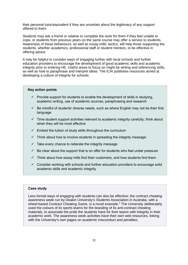their personal tutor/equivalent if they are uncertain about the legitimacy of any support offered to them.

Students may ask a friend or relative to complete the work for them if they feel unable to cope, or students from previous years on the same course may offer a service to students. Awareness of these behaviours, as well as essay mills' tactics, will help those supporting the students, whether academics, professional staff or student mentors, to be effective in offering advice.

It may be helpful to consider ways of engaging further with local schools and further education providers to encourage the development of good academic skills and academic integrity prior to entering HE. Useful areas to focus on might be writing and referencing skills, as well as how to paraphrase and interpret ideas. The ICAI publishes resources aimed at developing a culture of integrity for schools.

#### **Key action points**

- $\checkmark$  Provide support for students to enable the development of skills in studying, academic writing, use of academic sources, paraphrasing and research
- $\checkmark$  Be mindful of students' diverse needs, such as where English may not be their first language
- $\checkmark$  Time student support activities relevant to academic integrity carefully; think about when they will be most effective
- $\checkmark$  Embed the tuition of study skills throughout the curriculum
- $\checkmark$  Think about how to involve students in spreading the integrity message
- $\checkmark$  Take every chance to reiterate the integrity message
- $\checkmark$  Be clear about the support that is on offer for students who feel under pressure
- $\checkmark$  Think about how essay mills find their customers, and how students find them
- $\checkmark$  Consider working with schools and further education providers to encourage solid academic skills and academic integrity

#### **Case study**

Less formal ways of engaging with students can also be effective; the contract cheating awareness week run by Deakin University's Students Association in Australia, with a wheel-based Contract Cheating Game, is a novel example. <sup>1</sup> The University deliberately used the colours of its sports teams for the branding of its anti-contract cheating materials, to associate the pride the students have for their teams with integrity in their academic work. The awareness week activities have their own web resources, linking with the University's own pages on academic misconduct and penalties.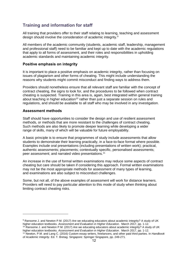## <span id="page-13-0"></span>**Training and information for staff**

All training that providers offer to their staff relating to learning, teaching and assessment design should involve the consideration of academic integrity.<sup>9</sup>

All members of the academic community (students, academic staff, leadership, management and professional staff) need to be familiar and kept up to date with the academic regulations that apply to all forms of assessment, and their roles and responsibilities in upholding academic standards and maintaining academic integrity.

#### **Positive emphasis on integrity**

It is important to place a positive emphasis on academic integrity, rather than focusing on issues of plagiarism and other forms of cheating. This might include understanding the reasons why students might commit misconduct and finding ways to address them.

Providers should nonetheless ensure that all relevant staff are familiar with the concept of contract cheating, the signs to look for, and the procedures to be followed when contract cheating is suspected. Training in this area is, again, best integrated within general training about teaching in higher education<sup>10</sup> rather than just a separate session on rules and regulations, and should be available to all staff who may be involved in any investigation.

#### **Assessment methods**

Staff should have opportunities to consider the design and use of resilient assessment methods, or methods that are more resistant to the challenges of contract cheating. Such methods are also likely to promote deeper learning while developing a wider range of skills, many of which will be valuable for future employability.

A basic principle is to ensure that programmes of study include assessments that allow students to demonstrate their learning practically, in a face-to-face format where possible. Examples include oral presentations (including presentations of written work); practical, authentic assessments; placements; contextually specific, personalised assessments; peer assessment; and narrated video presentations.<sup>11</sup>

An increase in the use of formal written examinations may reduce some aspects of contract cheating but care should be taken if considering this approach. Formal written examinations may not be the most appropriate methods for assessment of many types of learning, and examinations are also subject to misconduct challenges.

Some, but not all, of the above examples of assessment will work for distance learners. Providers will need to pay particular attention to this mode of study when thinking about limiting contract cheating risks.

<sup>&</sup>lt;sup>9</sup> Ransome J. and Newton P.M. (2017) Are we educating educators about academic integrity? A study of UK higher education textbooks. *Assessment and Evaluation in Higher Education*. March 2017, pp. 1-12.  $10$  Ransome J. and Newton P.M. (2017) Are we educating educators about academic integrity? A study of UK higher education textbooks. *Assessment and Evaluation in Higher Education*. March 2017, pp. 1-12.

<sup>11</sup> Newton, P.M. and Lang C. (2016) Custom essay writers, freelancers, and other paid third parties. In *Handbook of Academic Integrity*. Ed. T. Bretag. Singapore: Springer Singapore, pp. 249-271.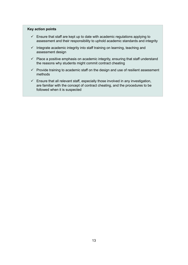- $\checkmark$  Ensure that staff are kept up to date with academic regulations applying to assessment and their responsibility to uphold academic standards and integrity
- $\checkmark$  Integrate academic integrity into staff training on learning, teaching and assessment design
- $\checkmark$  Place a positive emphasis on academic integrity, ensuring that staff understand the reasons why students might commit contract cheating
- $\checkmark$  Provide training to academic staff on the design and use of resilient assessment methods
- $\checkmark$  Ensure that all relevant staff, especially those involved in any investigation, are familiar with the concept of contract cheating, and the procedures to be followed when it is suspected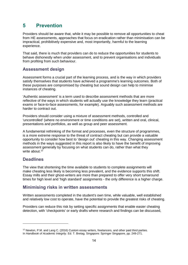## <span id="page-15-0"></span>**5 Prevention**

Providers should be aware that, while it may be possible to remove all opportunities to cheat from HE assessments, approaches that focus on eradication rather than minimisation can be impractical, prohibitively expensive and, most importantly, harmful to the learning experience.

That said, there is much that providers can do to reduce the opportunities for students to behave dishonestly when under assessment, and to prevent organisations and individuals from profiting from such behaviour.

## <span id="page-15-1"></span>**Assessment design**

Assessment forms a crucial part of the learning process, and is the way in which providers satisfy themselves that students have achieved a programme's learning outcomes. Both of these purposes are compromised by cheating but sound design can help to minimise instances of cheating.

'Authentic assessment' is a term used to describe assessment methods that are more reflective of the ways in which students will actually use the knowledge they learn (practical exams or face-to-face assessments, for example). Arguably such assessment methods are harder to contract out.

Providers should consider using a mixture of assessment methods, controlled and 'uncontrolled' (where no environment or time conditions are set), written and oral, clinical, presentations and portfolios, as well as group and peer assessment.

A fundamental rethinking of the format and processes, even the structure of programmes, is a more extreme response to the threat of contract cheating but can provide a valuable opportunity to consider how best to 'design out' cheating in this way. Changing assessment methods in the ways suggested in this report is also likely to have the benefit of improving assessment generally by focusing on what students can do, rather than what they write about.<sup>12</sup>

## <span id="page-15-2"></span>**Deadlines**

The view that shortening the time available to students to complete assignments will make cheating less likely is becoming less prevalent, and the evidence supports this shift. Essay mills and their ghost-writers are more than prepared to offer very short turnaround times for high level and 'high standard' assignments - the only difference is a higher charge.

## <span id="page-15-3"></span>**Minimising risks in written assessments**

Written assessments completed in the student's own time, while valuable, well established and relatively low cost to operate, have the potential to provide the greatest risks of cheating.

Providers can reduce this risk by setting specific assignments that enable easier cheating detection, with 'checkpoints' or early drafts where research and findings can be discussed,

<sup>&</sup>lt;sup>12</sup> Newton, P.M. and Lang C. (2016) Custom essay writers, freelancers, and other paid third parties.

In *Handbook of Academic Integrity*. Ed. T. Bretag. Singapore: Springer Singapore, pp. 249-271.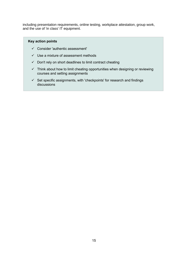including presentation requirements, online testing, workplace attestation, group work, and the use of 'in class' IT equipment.

- $\checkmark$  Consider 'authentic assessment'
- $\checkmark$  Use a mixture of assessment methods
- $\checkmark$  Don't rely on short deadlines to limit contract cheating
- $\checkmark$  Think about how to limit cheating opportunities when designing or reviewing courses and setting assignments
- $\checkmark$  Set specific assignments, with 'checkpoints' for research and findings discussions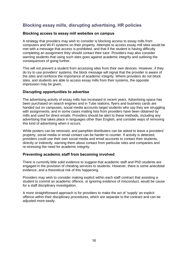## <span id="page-17-0"></span>**Blocking essay mills, disrupting advertising, HR policies**

#### **Blocking access to essay mill websites on campus**

A strategy that providers may wish to consider is blocking access to essay mills from computers and Wi-Fi systems on their property. Attempts to access essay mill sites would be met with a message that access is prohibited, and that if the student is having difficulty completing an assignment they should contact their tutor. Providers may also consider warning students that using such sites goes against academic integrity and outlining the consequences of going further.

This will not prevent a student from accessing sites from their own devices. However, if they do try to use providers' systems, the block message will signal that the provider is aware of the sites and reinforce the importance of academic integrity. Where providers do not block sites, and students are able to access essay mills from their systems, the opposite impression may be given.

#### **Disrupting opportunities to advertise**

The advertising activity of essay mills has increased in recent years. Advertising space has been purchased on search engines and in Tube stations, flyers and business cards are handed out on campuses, social media accounts target students who say they are struggling with assignments, and in some cases mailing lists from providers have been obtained by mills and used for direct emails. Providers should be alert to these methods, including any advertising that takes place in languages other than English, and consider ways of removing this kind of advertising when it occurs.

While posters can be removed, and pamphlet distributers can be asked to leave a providers' property, social media or email contact can be harder to counter. If activity is detected, providers could use their own social media and email accounts to contact their students, directly or indirectly, warning them about contact from particular sites and companies and re-stressing the need for academic integrity.

#### **Preventing academic staff from becoming involved**

There is currently little solid evidence to suggest that academic staff and PhD students are engaged in the provision of cheating services to students. However, there is some anecdotal evidence, and a theoretical risk of this happening.

Providers may wish to consider making explicit within each staff contract that assisting a student to commit an academic offence, or ignoring evidence of misconduct, would be cause for a staff disciplinary investigation.

A more straightforward approach is for providers to make the act of 'supply' an explicit offence within their disciplinary procedures, which are separate to the contract and can be adjusted more easily.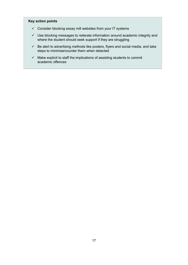- $\checkmark$  Consider blocking essay mill websites from your IT systems
- $\checkmark$  Use blocking messages to reiterate information around academic integrity and where the student should seek support if they are struggling
- $\checkmark$  Be alert to advertising methods like posters, flyers and social media, and take steps to minimise/counter them when detected
- $\checkmark$  Make explicit to staff the implications of assisting students to commit academic offences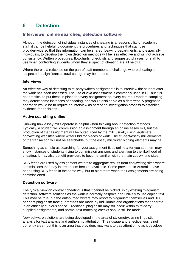# <span id="page-19-0"></span>**6 Detection**

## <span id="page-19-1"></span>**Interviews, online searches, detection software**

Although the detection of individual instances of cheating is a responsibility of academic staff, it can be helpful to document the procedures and techniques that staff use provider-wide so that this information can be shared. Leaving departments, and especially individuals, to develop their own detection methods will be less effective and will not achieve consistency. Written procedures, flowcharts, checklists and suggested phrases for staff to use when confronting students whom they suspect of cheating are all helpful.

Where there is a reticence on the part of staff members to challenge where cheating is suspected, a significant cultural change may be needed.

#### **Interviews**

An effective way of detecting third-party written assignments is to interview the student after the work has been assessed. The use of viva assessment is commonly used in HE but it is not practical to put these in place for every assignment on every course. Random sampling may detect some instances of cheating, and would also serve as a deterrent. A pragmatic approach would be to require an interview as part of an investigation process to establish evidence for decisions.

### **Active searching online**

Knowing how essay mills operate is helpful when thinking about detection methods. Typically, a student will commission an assignment through an online essay mill, but the production of that assignment will be outsourced by the mill, usually using legitimate copywriting websites where writers bid for pieces of work. The student/essay mill elements of the transaction will not be searchable, but the essay mill/writer bidding elements may be.

Something as simple as searching for your assignment titles online after you set them may show instances of students trying to commission answers and alert you to the likelihood of cheating. It may also benefit providers to become familiar with the main copywriting sites.

RSS feeds are used by assignment writers to aggregate results from copywriting sites where commissions that may interest them become available. Some providers in Australia have been using RSS feeds in the same way, but to alert them when their assignments are being commissioned.

### **Detection software**

The typical view on contract cheating is that it cannot be picked up by existing 'plagiarism detection' software solutions as the work is normally bespoke and unlikely to use copied text. This may be true, but the outsourced writers may resort to plagiarism themselves and '100 per cent plagiarism free' guarantees are made by individuals and organisations that operate in an ethically dubious space. Traditional plagiarism may still occur within third-party supplied assignments, and normal text-matching checks should still be made.

New software solutions are being developed in the area of stylometry, using linguistic analysis for text analysis and authorship attribution. Their usage and effectiveness is not currently clear, but this is an area that providers may want to pay attention to as it develops.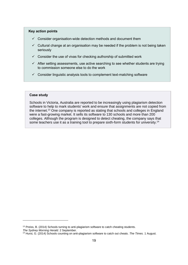#### **Key action points**

- $\checkmark$  Consider organisation-wide detection methods and document them
- $\checkmark$  Cultural change at an organisation may be needed if the problem is not being taken seriously
- $\checkmark$  Consider the use of vivas for checking authorship of submitted work
- $\checkmark$  After setting assessments, use active searching to see whether students are trying to commission someone else to do the work
- $\checkmark$  Consider linguistic analysis tools to complement text-matching software

#### **Case study**

Schools in Victoria, Australia are reported to be increasingly using plagiarism detection software to help to mark students' work and ensure that assignments are not copied from the internet. <sup>13</sup> One company is reported as stating that schools and colleges in England were a fast-growing market. It sells its software to 130 schools and more than 200 colleges. Although the program is designed to detect cheating, the company says that some teachers use it as a training tool to prepare sixth-form students for university.<sup>14</sup>

-

<sup>&</sup>lt;sup>13</sup> Preiss, B. (2014) Schools turning to anti-plagiarism software to catch cheating students.

*The Sydney Morning Herald.* 2 September.

<sup>14</sup> Hurst, G. (2014) Schools counting on anti-plagiarism software to catch out cheats. *The Times.* 1 August.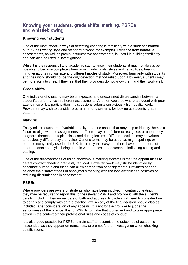## <span id="page-21-0"></span>**Knowing your students, grade shifts, marking, PSRBs and whistleblowing**

## **Knowing your students**

One of the most effective ways of detecting cheating is familiarity with a student's normal output (their writing style and standard of work, for example). Evidence from formative assessments, as well as previous summative assessments, is useful in building familiarity and can also be used in investigations.

While it is the responsibility of academic staff to know their students, it may not always be possible to become completely familiar with individuals' styles and capabilities, bearing in mind variations in class size and different modes of study. Moreover, familiarity with students and their work should not be the only detection method relied upon. However, students may be more likely to cheat if they feel that their providers do not know them and their work well.

### **Grade shifts**

One indicator of cheating may be unexpected and unexplained discrepancies between a student's performance in different assessments. Another would be where a student with poor attendance or low participation in discussions submits suspiciously high quality work. Providers may wish to consider programme-long systems for looking at students' grade patterns.

## **Marking**

Essay mill products are of variable quality, and one aspect that may help to identify them is a failure to align with the assignments set. There may be a failure to recognise, or a tendency to ignore, themes and topics discussed during lectures. Different sections may be written in an obviously different style or voice. Generic terms may be used, as might spellings or phrases not typically used in the UK. It is rarely this easy, but there have been reports of different fonts and styles being used in word processed documents, indicating cutting and pasting.

One of the disadvantages of using anonymous marking systems is that the opportunities to detect contract cheating are vastly reduced. However, work may still be identified by candidate numbers and these can allow comparison of assignments. Providers need to balance the disadvantages of anonymous marking with the long-established positives of reducing discrimination in assessment.

## **PSRBs**

Where providers are aware of students who have been involved in contract cheating, they may be required to report this to the relevant PSRB and provide it with the student's details, including their name, date of birth and address. Providers will need to consider how to do this and comply with data protection law. A copy of the final decision should also be included, after consideration of any appeals. It is not for the provider to judge the seriousness of the offence. It is for PSRBs to make that judgement and to take appropriate action in the context of their professional rules and codes of conduct.

It is also good practice for PSRBs to train staff to recognise the outcomes of academic misconduct as they appear on transcripts, to prompt further investigation when checking qualifications.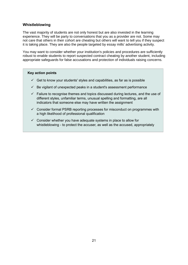## **Whistleblowing**

The vast majority of students are not only honest but are also invested in the learning experience. They will be party to conversations that you as a provider are not. Some may not care that others in their cohort are cheating but others will want to tell you if they suspect it is taking place. They are also the people targeted by essay mills' advertising activity.

You may want to consider whether your institution's policies and procedures are sufficiently robust to enable students to report suspected contract cheating by another student, including appropriate safeguards for false accusations and protection of individuals raising concerns.

- $\checkmark$  Get to know your students' styles and capabilities, as far as is possible
- $\checkmark$  Be vigilant of unexpected peaks in a student's assessment performance
- $\checkmark$  Failure to recognise themes and topics discussed during lectures, and the use of different styles, unfamiliar terms, unusual spelling and formatting, are all indicators that someone else may have written the assignment
- $\checkmark$  Consider formal PSRB reporting processes for misconduct on programmes with a high likelihood of professional qualification
- $\checkmark$  Consider whether you have adequate systems in place to allow for whistleblowing - to protect the accuser, as well as the accused, appropriately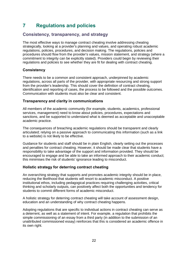# <span id="page-23-0"></span>**7 Regulations and policies**

## <span id="page-23-1"></span>**Consistency, transparency, and strategy**

The most effective ways to manage contract cheating involve addressing cheating strategically, looking at a provider's planning and values, and operating robust academic regulations, policies, procedures, and decision making. The regulations, policies and procedures should flow from the provider's values, mission statement, and strategy (where a commitment to integrity can be explicitly stated). Providers could begin by reviewing their regulations and policies to see whether they are fit for dealing with contract cheating.

## **Consistency**

There needs to be a common and consistent approach, underpinned by academic regulations, across all parts of the provider, with appropriate resourcing and strong support from the provider's leadership. This should cover the definition of contract cheating, identification and reporting of cases, the process to be followed and the possible outcomes. Communication with students must also be clear and consistent.

## **Transparency and clarity in communications**

All members of the academic community (for example, students, academics, professional services, management) need to know about policies, procedures, expectations and sanctions, and be supported to understand what is deemed as acceptable and unacceptable academic practice.

The consequences of breaching academic regulations should be transparent and clearly articulated; relying on a passive approach to communicating this information (such as a link to a website) is not likely to be effective.

Guidance for students and staff should be in plain English, clearly setting out the processes and penalties for contract cheating. However, it should be made clear that students have a responsibility to take advantage of the support and information provided. They should be encouraged to engage and be able to take an informed approach to their academic conduct; this minimises the risk of students' ignorance leading to misconduct.

## **Holistic strategy for deterring contract cheating**

An overarching strategy that supports and promotes academic integrity should be in place, reducing the likelihood that students will resort to academic misconduct. A positive institutional ethos, including pedagogical practices requiring challenging activities, critical thinking and scholarly outputs, can positively affect both the opportunities and tendency for students to commit different forms of academic misconduct.

A holistic strategy for deterring contract cheating will take account of assessment design, education and an understanding of why contract cheating happens.

Adopting regulations that are specific to individual actions in contract cheating can serve as a deterrent, as well as a statement of intent. For example, a regulation that prohibits the simple commissioning of an essay from a third party (in addition to the submission of an unattributed commissioned essay) reinforces that this is considered an academic offence in its own right.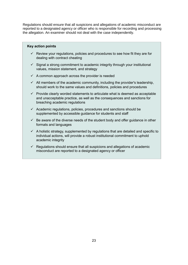Regulations should ensure that all suspicions and allegations of academic misconduct are reported to a designated agency or officer who is responsible for recording and processing the allegation. An examiner should not deal with the case independently.

- $\checkmark$  Review your regulations, policies and procedures to see how fit they are for dealing with contract cheating
- $\checkmark$  Signal a strong commitment to academic integrity through your institutional values, mission statement, and strategy
- $\checkmark$  A common approach across the provider is needed
- $\checkmark$  All members of the academic community, including the provider's leadership, should work to the same values and definitions, policies and procedures
- $\checkmark$  Provide clearly worded statements to articulate what is deemed as acceptable and unacceptable practice, as well as the consequences and sanctions for breaching academic regulations
- $\checkmark$  Academic regulations, policies, procedures and sanctions should be supplemented by accessible guidance for students and staff
- $\checkmark$  Be aware of the diverse needs of the student body and offer guidance in other formats and languages
- $\checkmark$  A holistic strategy, supplemented by regulations that are detailed and specific to individual actions, will provide a robust institutional commitment to uphold academic integrity
- $\checkmark$  Regulations should ensure that all suspicions and allegations of academic misconduct are reported to a designated agency or officer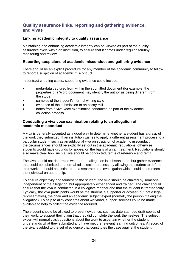## <span id="page-25-0"></span>**Quality assurance links, reporting and gathering evidence, and vivas**

## **Linking academic integrity to quality assurance**

Maintaining and enhancing academic integrity can be viewed as part of the quality assurance cycle within an institution, to ensure that it comes under regular scrutiny, monitoring and review.

## **Reporting suspicions of academic misconduct and gathering evidence**

There should be an explicit procedure for any member of the academic community to follow to report a suspicion of academic misconduct.

In contract cheating cases, supporting evidence could include:

- meta-data captured from within the submitted document (for example, the properties of a Word document may identify the author as being different from the student)
- samples of the student's normal writing style
- evidence of the submission to an essay mill
- notes from a viva voce examination conducted as part of the evidence collection process.

## **Conducting a viva voce examination relating to an allegation of academic misconduct**

A viva is generally accepted as a good way to determine whether a student has a grasp of the work they submitted. If an institution wishes to apply a different assessment process to a particular student, such as an additional viva on suspicion of academic misconduct, the circumstances should be explicitly set out in the academic regulations, otherwise students would have grounds for appeal on the basis of unfair treatment. Regulations should also make clear how such a viva should be conducted, terms of reference and remit.

The viva should not determine whether the allegation is substantiated, but gather evidence that could be submitted to a formal adjudication process, by allowing the student to defend their work. It should be distinct from a separate oral investigation which could cross-examine the individual on authorship.

To ensure objectivity and fairness to the student, the viva should be chaired by someone independent of the allegation, but appropriately experienced and trained. The chair should ensure that the viva is conducted in a collegiate manner and that the student is treated fairly. Typically, the viva participants would be the student, a supporter or adviser (but not a legal representative), the chair and an academic subject expert (normally the person making the allegation). To help to allay concerns about workload, support services could be made available to help to collect the evidence required.

The student should be allowed to present evidence, such as date-stamped draft copies of their work, to support their claim that they did complete the work themselves. The subject expert will normally ask questions about the work to ascertain whether the student understands what they submitted and have met the relevant learning outcomes. A record of the viva is added to the set of evidence that constitutes the case against the student.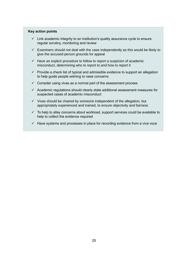- $\checkmark$  Link academic integrity to an institution's quality assurance cycle to ensure regular scrutiny, monitoring and review
- $\checkmark$  Examiners should not deal with the case independently as this would be likely to give the accused person grounds for appeal
- $\checkmark$  Have an explicit procedure to follow to report a suspicion of academic misconduct, determining who to report to and how to report it
- $\checkmark$  Provide a check list of typical and admissible evidence to support an allegation to help guide people wishing to raise concerns
- $\checkmark$  Consider using vivas as a normal part of the assessment process
- $\checkmark$  Academic regulations should clearly state additional assessment measures for suspected cases of academic misconduct
- $\checkmark$  Vivas should be chaired by someone independent of the allegation, but appropriately experienced and trained, to ensure objectivity and fairness
- $\checkmark$  To help to allay concerns about workload, support services could be available to help to collect the evidence required
- $\checkmark$  Have systems and processes in place for recording evidence from a viva voce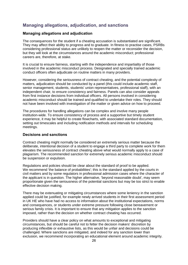## <span id="page-27-0"></span>**Managing allegations, adjudication, and sanctions**

#### **Managing allegations and adjudication**

The consequences for the student if a cheating accusation is substantiated are significant. They may affect their ability to progress and to graduate. In fitness to practise cases, PSRBs considering professional status are unlikely to reopen the matter or reconsider the decision, but they will look at the circumstances around the academic misconduct; professional careers are, therefore, at stake.

It is crucial to ensure fairness, starting with the independence and impartiality of those involved in the academic misconduct process. Designated and specially trained academic conduct officers often adjudicate on routine matters in many providers.

However, considering the seriousness of contract cheating, and the potential complexity of matters, adjudication should be conducted by a panel (this could include academic staff, senior management, students, students' union representatives, professional staff), with an independent chair, to ensure consistency and fairness. Panels can also consider appeals from first instance decisions from individual officers. All persons involved in considering academic misconduct should be trained and qualified to undertake their roles. They should not have been involved with investigation of the matter or given advice on how to proceed.

The procedures for handling allegations can be complex and involve many people institution-wide. To ensure consistency of process and a supportive but timely student experience, it may be helpful to create flowcharts, with associated standard documentation, setting out timescales and including notification methods and intervals for scheduling meetings.

## **Decisions and sanctions**

Contract cheating might normally be considered an extremely serious matter because the deliberate, intentional decision of a student to engage a third party to complete work for them elevates the seriousness of contract cheating above what would normally apply to a case of plagiarism. The recommended sanction for extremely serious academic misconduct should be suspension or expulsion.

Regulations and policies should be clear about the standard of proof to be applied. We recommend 'the balance of probabilities'; this is the standard applied by the courts in civil matters and by some regulators in professional admission cases where the character of the applicant is in question. The higher alternative, 'beyond reasonable doubt', may seem proportionate given the seriousness of the potential sanctions but may be too strict to enable effective decision making.

There may be extenuating or mitigating circumstances where some leniency in the sanction applied could be justified, for example newly arrived students in their first assessment period in UK HE who have had no access to information about the institutional expectations, norms and consequences, or students under extreme pressure following close bereavement or serious family crisis. It is important to ensure that any mitigation applies to the sanction imposed, rather than the decision on whether contract cheating has occurred.

Providers should have a clear policy on what amounts to exceptional and mitigating circumstances, but should be careful not to fetter the decision makers' discretion by producing inflexible or exhaustive lists, as this would be unfair and decisions could be challenged. Where sanctions are mitigated, and indeed for any sanction lower than exclusion, we recommend incorporating an educational element around academic integrity.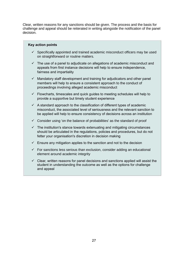Clear, written reasons for any sanctions should be given. The process and the basis for challenge and appeal should be reiterated in writing alongside the notification of the panel decision.

- $\checkmark$  Specifically appointed and trained academic misconduct officers may be used on straightforward or routine matters.
- $\checkmark$  The use of a panel to adjudicate on allegations of academic misconduct and appeals from first instance decisions will help to ensure independence, fairness and impartiality
- $\checkmark$  Mandatory staff development and training for adjudicators and other panel members will help to ensure a consistent approach to the conduct of proceedings involving alleged academic misconduct
- $\checkmark$  Flowcharts, timescales and quick guides to meeting schedules will help to provide a supportive but timely student experience
- $\checkmark$  A standard approach to the classification of different types of academic misconduct, the associated level of seriousness and the relevant sanction to be applied will help to ensure consistency of decisions across an institution
- $\checkmark$  Consider using 'on the balance of probabilities' as the standard of proof
- $\checkmark$  The institution's stance towards extenuating and mitigating circumstances should be articulated in the regulations, policies and procedures, but do not fetter your organisation's discretion in decision making
- $\checkmark$  Ensure any mitigation applies to the sanction and not to the decision
- $\checkmark$  For sanctions less serious than exclusion, consider adding an educational element around academic integrity
- $\checkmark$  Clear, written reasons for panel decisions and sanctions applied will assist the student in understanding the outcome as well as the options for challenge and appeal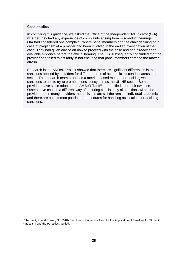#### **Case studies**

-

In compiling this guidance, we asked the Office of the Independent Adjudicator (OIA) whether they had any experience of complaints arising from misconduct hearings. OIA had considered one complaint, where panel members and the chair deciding on a case of plagiarism at a provider had been involved in the earlier investigation of that case. They had given advice on how to proceed with the case and had already seen available evidence before the official hearing. The OIA subsequently concluded that the provider had failed to act fairly in not ensuring that panel members came to the matter afresh.

Research in the AMBeR Project showed that there are significant differences in the sanctions applied by providers for different forms of academic misconduct across the sector. The research team proposed a metrics-based method for deciding what sanctions to use to try to promote consistency across the UK HE sector. Some providers have since adopted the AMBeR Tariff<sup>15</sup> or modified it for their own use. Others have chosen a different way of ensuring consistency of sanctions within the provider, but in many providers the decisions are still the remit of individual academics and there are no common policies or procedures for handling accusations or deciding sanctions.

<sup>15</sup> Tennant, P. and Rowell, G. (2010) Benchmark Plagiarism Tariff for the Application of Penalties for Student Plagiarism and the Penalties Applied.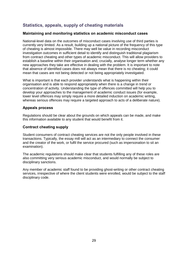## <span id="page-30-0"></span>**Statistics, appeals, supply of cheating materials**

## **Maintaining and monitoring statistics on academic misconduct cases**

National-level data on the outcomes of misconduct cases involving use of third parties is currently very limited. As a result, building up a national picture of the frequency of this type of cheating is almost impossible. There may well be value in recording misconduct investigation outcomes in sufficient detail to identify and distinguish traditional plagiarism from contract cheating and other types of academic misconduct. This will allow providers to establish a baseline within their organisation and, crucially, analyse longer term whether any new approaches they take are effective in dealing with the problem. It is important to note that absence of identified cases does not always mean that there is no cheating; it could mean that cases are not being detected or not being appropriately investigated.

What is important is that each provider understands what is happening within their organisation and is able to respond appropriately when there is a change in trend or concentration of activity. Understanding the type of offences committed will help you to develop your approaches to the management of academic conduct issues (for example, lower level offences may simply require a more detailed induction on academic writing, whereas serious offences may require a targeted approach to acts of a deliberate nature).

## **Appeals process**

Regulations should be clear about the grounds on which appeals can be made, and make this information available to any student that would benefit from it.

### **Contract cheating supply**

Student consumers of contract cheating services are not the only people involved in these transactions. Typically, the essay mill will act as an intermediary to connect the consumer and the creator of the work, or fulfil the service procured (such as impersonation to sit an examination).

The academic regulations should make clear that students fulfilling any of these roles are also committing very serious academic misconduct, and would normally be subject to disciplinary sanctions.

Any member of academic staff found to be providing ghost-writing or other contract cheating services, irrespective of where the client students were enrolled, would be subject to the staff disciplinary code.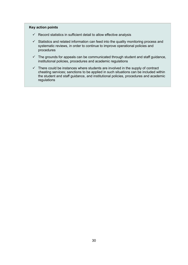- $\checkmark$  Record statistics in sufficient detail to allow effective analysis
- $\checkmark$  Statistics and related information can feed into the quality monitoring process and systematic reviews, in order to continue to improve operational policies and procedures
- $\checkmark$  The grounds for appeals can be communicated through student and staff guidance, institutional policies, procedures and academic regulations
- $\checkmark$  There could be instances where students are involved in the supply of contract cheating services; sanctions to be applied in such situations can be included within the student and staff guidance, and institutional policies, procedures and academic regulations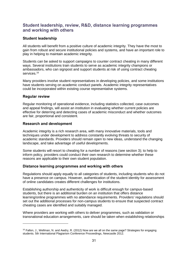## <span id="page-32-0"></span>**Student leadership, review, R&D, distance learning programmes and working with others**

### **Student leadership**

All students will benefit from a positive culture of academic integrity. They have the most to gain from robust and secure institutional policies and systems, and have an important role to play in helping to maintain academic integrity.

Students can be asked to support campaigns to counter contract cheating in many different ways. Several institutions train students to serve as academic integrity champions or ambassadors, who can signpost and support students at risk of using contract cheating services.<sup>16</sup>

Many providers involve student representatives in developing policies, and some institutions have students serving on academic conduct panels. Academic integrity representatives could be incorporated within existing course representative systems.

#### **Regular review**

-

Regular monitoring of operational evidence, including statistics collected, case outcomes and appeal findings, will assist an institution in evaluating whether current policies are effective for deterring and detecting cases of academic misconduct and whether outcomes are fair, proportional and consistent.

#### **Research and development**

Academic integrity is a rich research area, with many innovative materials, tools and techniques under development to address constantly evolving threats to security of academic standards. Providers should remain open to new ideas, understand the changing landscape, and take advantage of useful developments.

Some students will resort to cheating for a number of reasons (see section 3); to help to inform policy, providers could conduct their own research to determine whether these reasons are applicable to their own student population.

### **Distance learning programmes and working with others**

Regulations should apply equally to all categories of students, including students who do not have a presence on campus. However, authentication of the student identity for assessment of online candidates creates different challenges for institutions.

Establishing authorship and authenticity of work is difficult enough for campus-based students, but there is an additional burden on an institution that offers distance learning/online programmes with no attendance requirements. Providers' regulations should set out the additional processes for non-campus students to ensure that suspected contract cheating cases are identified and suitably managed.

Where providers are working with others to deliver programmes, such as validation or transnational education arrangements, care should be taken when establishing relationships

<sup>16</sup> Fallon, J., Wellman, N. and Awdry, R. (2012) Now are we all on the same page? Strategies for engaging students. 5th International Plagiarism Conference Proceedings, Newcastle 2012.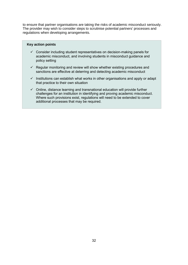to ensure that partner organisations are taking the risks of academic misconduct seriously. The provider may wish to consider steps to scrutinise potential partners' processes and regulations when developing arrangements.

- $\checkmark$  Consider including student representatives on decision-making panels for academic misconduct, and involving students in misconduct guidance and policy setting
- $\checkmark$  Regular monitoring and review will show whether existing procedures and sanctions are effective at deterring and detecting academic misconduct
- $\checkmark$  Institutions can establish what works in other organisations and apply or adapt that practice to their own situation
- $\checkmark$  Online, distance learning and transnational education will provide further challenges for an institution in identifying and proving academic misconduct. Where such provisions exist, regulations will need to be extended to cover additional processes that may be required.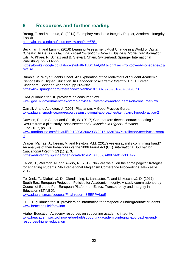# <span id="page-34-0"></span>**8 Resources and further reading**

Bretag, T. and Mahmud, S. (2014) Exemplary Academic Integrity Project, Academic Integrity Toolkit.

<https://lo.unisa.edu.au/course/view.php?id=6751>

Beckman T. and Lam H. (2016) Learning Assessment Must Change in a World of Digital "Cheats". In *Deus Ex Machina: Digital Disruption's Role in Business Model Transformation*. Eds. A. Khare, R. Schatz and B. Stewart. Cham, Switzerland: Springer International Publishing, pp. 211-222.

[https://books.google.co.uk/books?id=9R1LDQAAQBAJ&printsec=frontcover#v=onepage&q&](https://books.google.co.uk/books?id=9R1LDQAAQBAJ&printsec=frontcover#v=onepage&q&f=false) [f=false](https://books.google.co.uk/books?id=9R1LDQAAQBAJ&printsec=frontcover#v=onepage&q&f=false)

Brimble, M. Why Students Cheat. An Exploration of the Motivators of Student Academic Dishonesty in Higher Education. In *Handbook of Academic Integrity*. Ed. T. Bretag. Singapore: Springer Singapore, pp.365-382. [https://link.springer.com/referenceworkentry/10.1007/978-981-287-098-8\\_58](https://link.springer.com/referenceworkentry/10.1007/978-981-287-098-8_58)

CMA guidance for HE providers on consumer law. [www.gov.uk/government/news/cma-advises-universities-and-students-on-consumer-law](http://www.gov.uk/government/news/cma-advises-universities-and-students-on-consumer-law)

Carroll, J. and Appleton, J. (2001) Plagiarism: A Good Practice Guide. [www.plagiarismadvice.org/resources/institutional-approaches/item/carroll-goodpractice-2](http://www.plagiarismadvice.org/resources/institutional-approaches/item/carroll-goodpractice-2)

Dawson, P. and Sutherland-Smith, W. (2017) Can markers detect contract cheating? Results from a pilot study. *Assessment and Evaluation in Higher Education*. June 2017, pp.1-8.

[www.tandfonline.com/doi/full/10.1080/02602938.2017.1336746?scroll=top&needAccess=tru](http://www.tandfonline.com/doi/full/10.1080/02602938.2017.1336746?scroll=top&needAccess=true) [e](http://www.tandfonline.com/doi/full/10.1080/02602938.2017.1336746?scroll=top&needAccess=true)

Draper, Michael J., Ibezim, V. and Newton, P.M. (2017) Are essay mills committing fraud? An analysis of their behaviours vs the 2006 Fraud Act (UK). *International Journal for Educational Integrity* 13 (1), p. 3. <https://edintegrity.springeropen.com/articles/10.1007/s40979-017-0014-5>

Fallon, J., Wellman, N. and Awdry, R. (2012) Now are we all on the same page? Strategies for engaging students. 5th International Plagiarism Conference Proceedings, Newcastle 2012.

Foltýnek, T., Dlabolová, D., Glendinning, I., Lancaster, T. and Linkeschová, D. (2017) South East European Project on Policies for Academic Integrity. A study commissioned by Council of Europe Pan-European Platform on Ethics, Transparency and Integrity in Education (ETINED).

[www.plagiarism.cz/seeppai/Final-report\\_SEEPPAI.pdf](http://www.plagiarism.cz/seeppai/Final-report_SEEPPAI.pdf)

HEFCE guidance for HE providers on information for prospective undergraduate students. [www.hefce.ac.uk/lt/provinfo](http://www.hefce.ac.uk/lt/provinfo/)

Higher Education Academy resources on supporting academic integrity. [www.heacademy.ac.uk/knowledge-hub/supporting-academic-integrity-approaches-and](http://www.heacademy.ac.uk/knowledge-hub/supporting-academic-integrity-approaches-and-resources-higher-education)[resources-higher-education](http://www.heacademy.ac.uk/knowledge-hub/supporting-academic-integrity-approaches-and-resources-higher-education)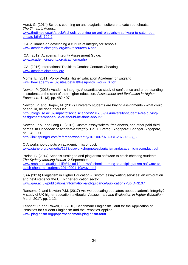Hurst, G. (2014) Schools counting on anti-plagiarism software to catch out cheats. *The Times.* 1 August.

[www.thetimes.co.uk/article/schools-counting-on-anti-plagiarism-software-to-catch-out](http://www.thetimes.co.uk/article/schools-counting-on-anti-plagiarism-software-to-catch-out-cheats-btjh5h799r2)[cheats-btjh5h799r2](http://www.thetimes.co.uk/article/schools-counting-on-anti-plagiarism-software-to-catch-out-cheats-btjh5h799r2)

ICAI guidance on developing a culture of integrity for schools. [www.academicintegrity.org/icai/resources-4.php](http://www.academicintegrity.org/icai/resources-4.php)

ICAI (2012) Academic Integrity Assessment Guide. [www.academicintegrity.org/icai/home.php](http://www.academicintegrity.org/icai/home.php)

ICAI (2016) International Toolkit to Combat Contract Cheating. [www.academicintegrity.org](http://www.academicintegrity.org/)

Morris, E. (2011) Policy Works Higher Education Academy for England. [www.heacademy.ac.uk/sites/default/files/policy\\_works\\_0.pdf](http://www.heacademy.ac.uk/sites/default/files/policy_works_0.pdf)

Newton P. (2015) Academic integrity: A quantitative study of confidence and understanding in students at the start of their higher education. *Assessment and Evaluation in Higher Education*. 41 (3), pp. 482-497.

Newton, P. and Draper, M. (2017) University students are buying assignments - what could, or should, be done about it?

[http://blogs.lse.ac.uk/impactofsocialsciences/2017/02/28/university-students-are-buying](http://blogs.lse.ac.uk/impactofsocialsciences/2017/02/28/university-students-are-buying-assignments-what-could-or-should-be-done-about-it/)[assignments-what-could-or-should-be-done-about-it](http://blogs.lse.ac.uk/impactofsocialsciences/2017/02/28/university-students-are-buying-assignments-what-could-or-should-be-done-about-it/)

Newton, P.M. and Lang C. (2016) Custom essay writers, freelancers, and other paid third parties. In *Handbook of Academic Integrity*. Ed. T. Bretag. Singapore: Springer Singapore, pp. 249-271.

[http://link.springer.com/referenceworkentry/10.1007/978-981-287-098-8\\_38](http://link.springer.com/referenceworkentry/10.1007/978-981-287-098-8_38)

OIA workshop outputs on academic misconduct. [www.oiahe.org.uk/media/1273/oiaworkshopnotesplagiarismandacademicmisconduct.pdf](http://www.oiahe.org.uk/media/1273/oiaworkshopnotesplagiarismandacademicmisconduct.pdf) 

Preiss, B. (2014) Schools turning to anti-plagiarism software to catch cheating students. *The Sydney Morning Herald.* 2 September. [www.smh.com.au/digital-life/digital-life-news/schools-turning-to-antiplagiarism-software-to](http://www.smh.com.au/digital-life/digital-life-news/schools-turning-to-antiplagiarism-software-to-catch-cheating-students-20140901-10ayuv.html)[catch-cheating-students-20140901-10ayuv.html](http://www.smh.com.au/digital-life/digital-life-news/schools-turning-to-antiplagiarism-software-to-catch-cheating-students-20140901-10ayuv.html)

QAA (2016) Plagiarism in Higher Education - Custom essay writing services: an exploration and next steps for the UK higher education sector. [www.qaa.ac.uk/publications/information-and-guidance/publication?PubID=3107](http://www.qaa.ac.uk/publications/information-and-guidance/publication?PubID=3107)

Ransome J. and Newton P.M. (2017) Are we educating educators about academic integrity? A study of UK higher education textbooks. *Assessment and Evaluation in Higher Education*. March 2017, pp. 1-12.

Tennant, P. and Rowell, G. (2010) Benchmark Plagiarism Tariff for the Application of Penalties for Student Plagiarism and the Penalties Applied. [www.plagiarism.org/paper/benchmark-plagiarism-tariff](http://www.plagiarism.org/paper/benchmark-plagiarism-tariff)